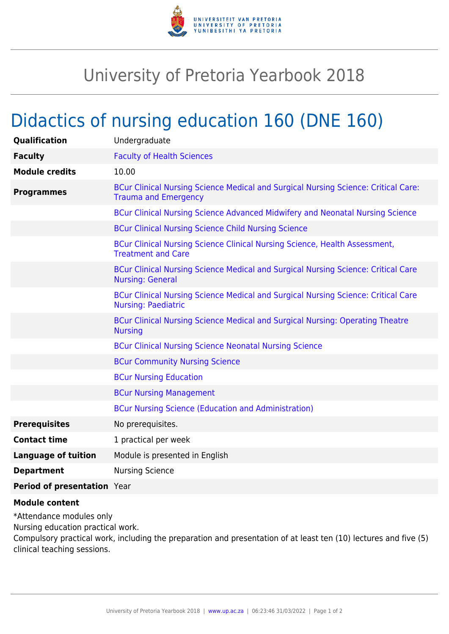

## University of Pretoria Yearbook 2018

## Didactics of nursing education 160 (DNE 160)

| Qualification               | Undergraduate                                                                                                     |
|-----------------------------|-------------------------------------------------------------------------------------------------------------------|
| <b>Faculty</b>              | <b>Faculty of Health Sciences</b>                                                                                 |
| <b>Module credits</b>       | 10.00                                                                                                             |
| <b>Programmes</b>           | BCur Clinical Nursing Science Medical and Surgical Nursing Science: Critical Care:<br><b>Trauma and Emergency</b> |
|                             | BCur Clinical Nursing Science Advanced Midwifery and Neonatal Nursing Science                                     |
|                             | <b>BCur Clinical Nursing Science Child Nursing Science</b>                                                        |
|                             | BCur Clinical Nursing Science Clinical Nursing Science, Health Assessment,<br><b>Treatment and Care</b>           |
|                             | BCur Clinical Nursing Science Medical and Surgical Nursing Science: Critical Care<br><b>Nursing: General</b>      |
|                             | BCur Clinical Nursing Science Medical and Surgical Nursing Science: Critical Care<br><b>Nursing: Paediatric</b>   |
|                             | BCur Clinical Nursing Science Medical and Surgical Nursing: Operating Theatre<br><b>Nursing</b>                   |
|                             | <b>BCur Clinical Nursing Science Neonatal Nursing Science</b>                                                     |
|                             | <b>BCur Community Nursing Science</b>                                                                             |
|                             | <b>BCur Nursing Education</b>                                                                                     |
|                             | <b>BCur Nursing Management</b>                                                                                    |
|                             | <b>BCur Nursing Science (Education and Administration)</b>                                                        |
| <b>Prerequisites</b>        | No prerequisites.                                                                                                 |
| <b>Contact time</b>         | 1 practical per week                                                                                              |
| <b>Language of tuition</b>  | Module is presented in English                                                                                    |
| <b>Department</b>           | <b>Nursing Science</b>                                                                                            |
| Period of presentation Year |                                                                                                                   |

## **Module content**

\*Attendance modules only

Nursing education practical work.

Compulsory practical work, including the preparation and presentation of at least ten (10) lectures and five (5) clinical teaching sessions.